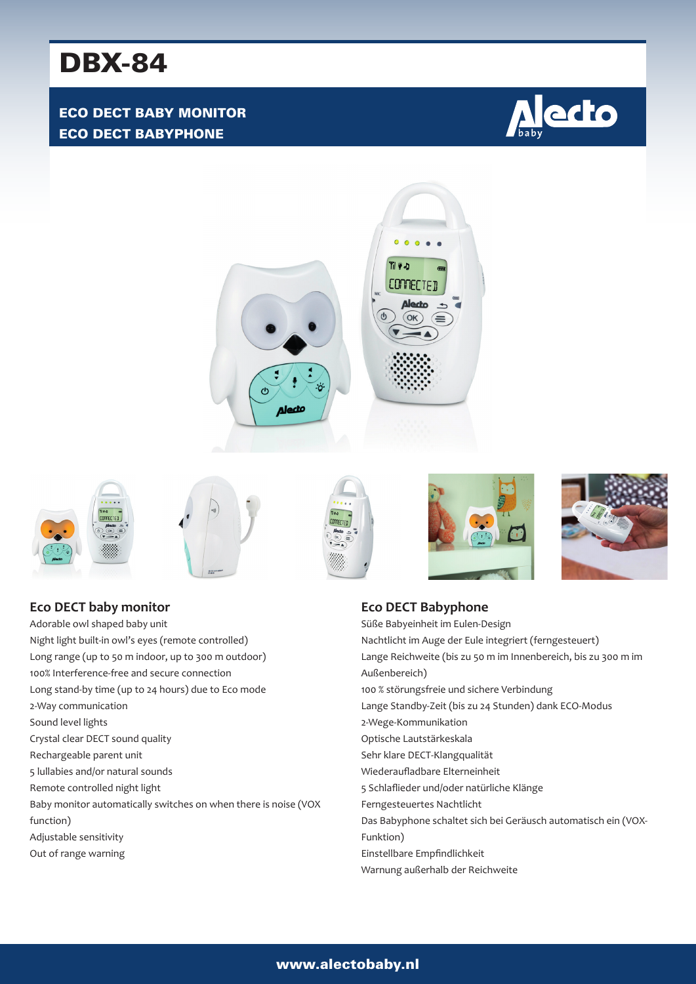# DBX-84

## ECO DECT BABY MONITOR ECO DECT BABYPHONE















**Eco DECT baby monitor** Adorable owl shaped baby unit Night light built-in owl's eyes (remote controlled) Long range (up to 50 m indoor, up to 300 m outdoor) 100% Interference-free and secure connection Long stand-by time (up to 24 hours) due to Eco mode 2-Way communication Sound level lights Crystal clear DECT sound quality Rechargeable parent unit 5 lullabies and/or natural sounds Remote controlled night light Baby monitor automatically switches on when there is noise (VOX function) Adjustable sensitivity Out of range warning

**Eco DECT Babyphone** Süße Babyeinheit im Eulen-Design Nachtlicht im Auge der Eule integriert (ferngesteuert) Lange Reichweite (bis zu 50 m im Innenbereich, bis zu 300 m im Außenbereich) 100 % störungsfreie und sichere Verbindung Lange Standby-Zeit (bis zu 24 Stunden) dank ECO-Modus 2-Wege-Kommunikation Optische Lautstärkeskala Sehr klare DECT-Klangqualität Wiederaufladbare Elterneinheit 5 Schlaflieder und/oder natürliche Klänge Ferngesteuertes Nachtlicht Das Babyphone schaltet sich bei Geräusch automatisch ein (VOX-Funktion) Einstellbare Empfindlichkeit Warnung außerhalb der Reichweite